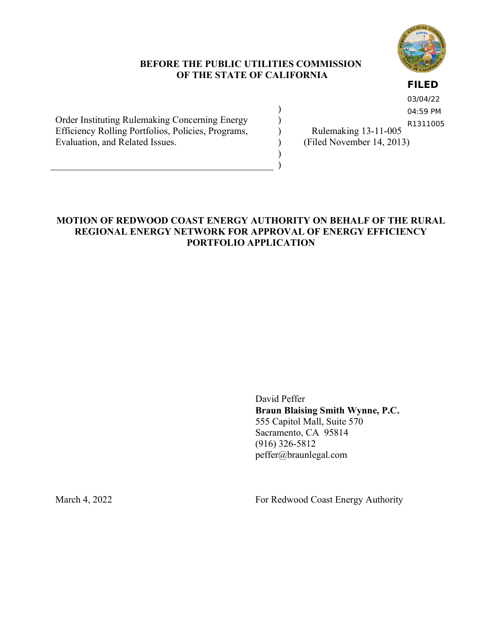

# **BEFORE THE PUBLIC UTILITIES COMMISSION OF THE STATE OF CALIFORNIA**

) ) ) )  $\lambda$ )

## **FILED**

Order Instituting Rulemaking Concerning Energy Efficiency Rolling Portfolios, Policies, Programs, Evaluation, and Related Issues.

03/04/22 04:59 PM R1311005

Rulemaking 13-11-005 (Filed November 14, 2013)

# **MOTION OF REDWOOD COAST ENERGY AUTHORITY ON BEHALF OF THE RURAL REGIONAL ENERGY NETWORK FOR APPROVAL OF ENERGY EFFICIENCY PORTFOLIO APPLICATION**

David Peffer **Braun Blaising Smith Wynne, P.C.** 555 Capitol Mall, Suite 570 Sacramento, CA 95814 (916) 326-5812 peffer@braunlegal.com

March 4, 2022 For Redwood Coast Energy Authority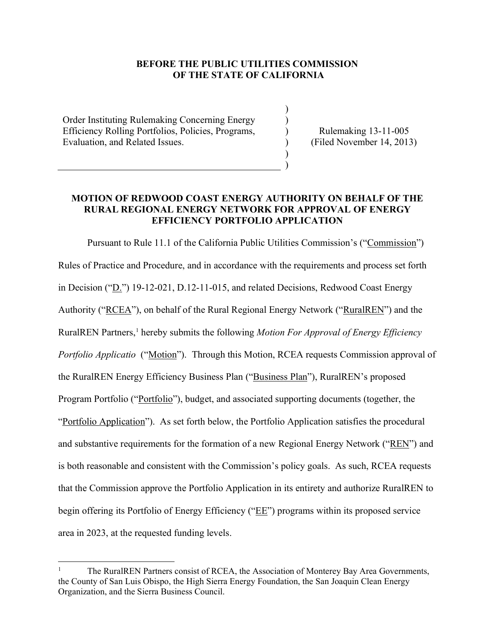#### **BEFORE THE PUBLIC UTILITIES COMMISSION OF THE STATE OF CALIFORNIA**

) ) ) ) ) )

Order Instituting Rulemaking Concerning Energy Efficiency Rolling Portfolios, Policies, Programs, Evaluation, and Related Issues.

Rulemaking 13-11-005 (Filed November 14, 2013)

# **MOTION OF REDWOOD COAST ENERGY AUTHORITY ON BEHALF OF THE RURAL REGIONAL ENERGY NETWORK FOR APPROVAL OF ENERGY EFFICIENCY PORTFOLIO APPLICATION**

Pursuant to Rule 11.1 of the California Public Utilities Commission's ("Commission") Rules of Practice and Procedure, and in accordance with the requirements and process set forth in Decision ("D.") 19-12-021, D.12-11-015, and related Decisions, Redwood Coast Energy Authority ("RCEA"), on behalf of the Rural Regional Energy Network ("RuralREN") and the RuralREN Partners,<sup>1</sup> hereby submits the following *Motion For Approval of Energy Efficiency Portfolio Applicatio* ("<u>Motion</u>"). Through this Motion, RCEA requests Commission approval of the RuralREN Energy Efficiency Business Plan ("Business Plan"), RuralREN's proposed Program Portfolio ("Portfolio"), budget, and associated supporting documents (together, the "Portfolio Application"). As set forth below, the Portfolio Application satisfies the procedural and substantive requirements for the formation of a new Regional Energy Network ("REN") and is both reasonable and consistent with the Commission's policy goals. As such, RCEA requests that the Commission approve the Portfolio Application in its entirety and authorize RuralREN to begin offering its Portfolio of Energy Efficiency ("EE") programs within its proposed service area in 2023, at the requested funding levels.

<sup>1</sup> The RuralREN Partners consist of RCEA, the Association of Monterey Bay Area Governments, the County of San Luis Obispo, the High Sierra Energy Foundation, the San Joaquin Clean Energy Organization, and the Sierra Business Council.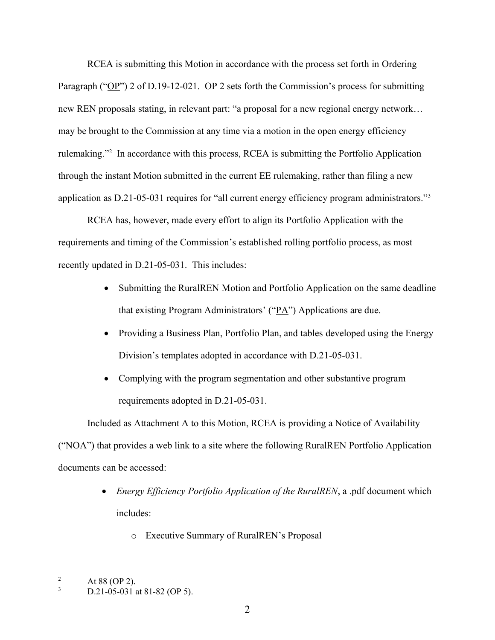RCEA is submitting this Motion in accordance with the process set forth in Ordering Paragraph ("OP") 2 of D.19-12-021. OP 2 sets forth the Commission's process for submitting new REN proposals stating, in relevant part: "a proposal for a new regional energy network… may be brought to the Commission at any time via a motion in the open energy efficiency rulemaking."<sup>2</sup> In accordance with this process, RCEA is submitting the Portfolio Application through the instant Motion submitted in the current EE rulemaking, rather than filing a new application as D.21-05-031 requires for "all current energy efficiency program administrators."<sup>3</sup>

RCEA has, however, made every effort to align its Portfolio Application with the requirements and timing of the Commission's established rolling portfolio process, as most recently updated in D.21-05-031. This includes:

- Submitting the RuralREN Motion and Portfolio Application on the same deadline that existing Program Administrators' (" $\underline{PA}$ ") Applications are due.
- Providing a Business Plan, Portfolio Plan, and tables developed using the Energy Division's templates adopted in accordance with D.21-05-031.
- Complying with the program segmentation and other substantive program requirements adopted in D.21-05-031.

Included as Attachment A to this Motion, RCEA is providing a Notice of Availability (" $NOA$ ") that provides a web link to a site where the following RuralREN Portfolio Application documents can be accessed:

- *Energy Efficiency Portfolio Application of the RuralREN*, a .pdf document which includes:
	- o Executive Summary of RuralREN's Proposal

 $\frac{2}{3}$  At 88 (OP 2).

D.21-05-031 at 81-82 (OP 5).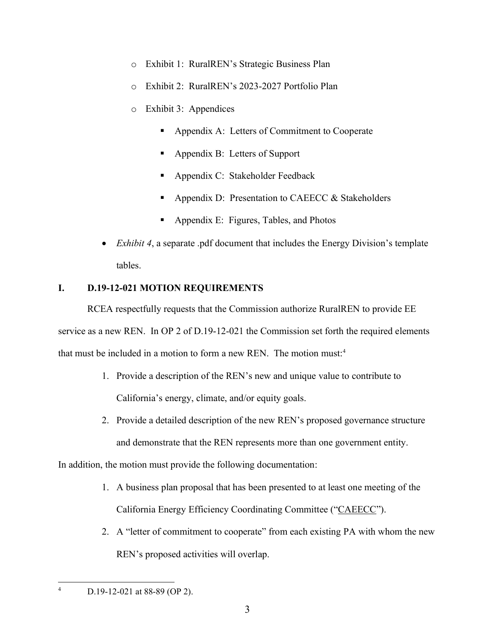- o Exhibit 1: RuralREN's Strategic Business Plan
- o Exhibit 2: RuralREN's 2023-2027 Portfolio Plan
- o Exhibit 3: Appendices
	- Appendix A: Letters of Commitment to Cooperate
	- Appendix B: Letters of Support
	- Appendix C: Stakeholder Feedback
	- **•** Appendix D: Presentation to CAEECC  $\&$  Stakeholders
	- Appendix E: Figures, Tables, and Photos
- *Exhibit 4*, a separate .pdf document that includes the Energy Division's template tables.

# **I. D.19-12-021 MOTION REQUIREMENTS**

RCEA respectfully requests that the Commission authorize RuralREN to provide EE service as a new REN. In OP 2 of D.19-12-021 the Commission set forth the required elements that must be included in a motion to form a new REN. The motion must:<sup>4</sup>

- 1. Provide a description of the REN's new and unique value to contribute to California's energy, climate, and/or equity goals.
- 2. Provide a detailed description of the new REN's proposed governance structure and demonstrate that the REN represents more than one government entity.

In addition, the motion must provide the following documentation:

- 1. A business plan proposal that has been presented to at least one meeting of the California Energy Efficiency Coordinating Committee ("CAEECC").
- 2. A "letter of commitment to cooperate" from each existing PA with whom the new REN's proposed activities will overlap.

<sup>4</sup> D.19-12-021 at 88-89 (OP 2).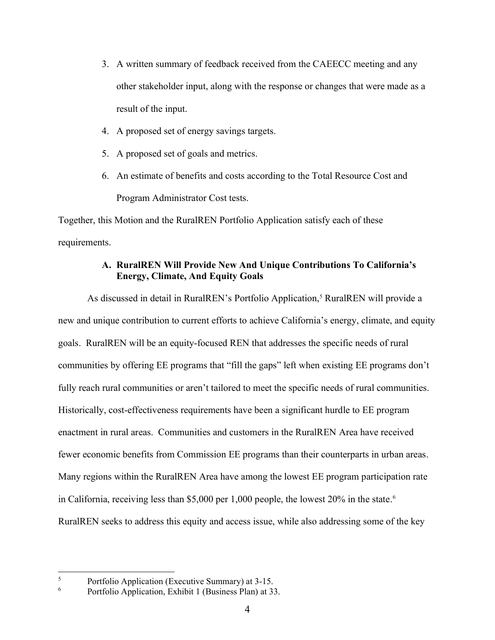- 3. A written summary of feedback received from the CAEECC meeting and any other stakeholder input, along with the response or changes that were made as a result of the input.
- 4. A proposed set of energy savings targets.
- 5. A proposed set of goals and metrics.
- 6. An estimate of benefits and costs according to the Total Resource Cost and Program Administrator Cost tests.

Together, this Motion and the RuralREN Portfolio Application satisfy each of these requirements.

# **A. RuralREN Will Provide New And Unique Contributions To California's Energy, Climate, And Equity Goals**

As discussed in detail in RuralREN's Portfolio Application,<sup>5</sup> RuralREN will provide a new and unique contribution to current efforts to achieve California's energy, climate, and equity goals. RuralREN will be an equity-focused REN that addresses the specific needs of rural communities by offering EE programs that "fill the gaps" left when existing EE programs don't fully reach rural communities or aren't tailored to meet the specific needs of rural communities. Historically, cost-effectiveness requirements have been a significant hurdle to EE program enactment in rural areas. Communities and customers in the RuralREN Area have received fewer economic benefits from Commission EE programs than their counterparts in urban areas. Many regions within the RuralREN Area have among the lowest EE program participation rate in California, receiving less than \$5,000 per 1,000 people, the lowest 20% in the state. 6 RuralREN seeks to address this equity and access issue, while also addressing some of the key

 $\frac{5}{6}$  Portfolio Application (Executive Summary) at 3-15.

Portfolio Application, Exhibit 1 (Business Plan) at 33.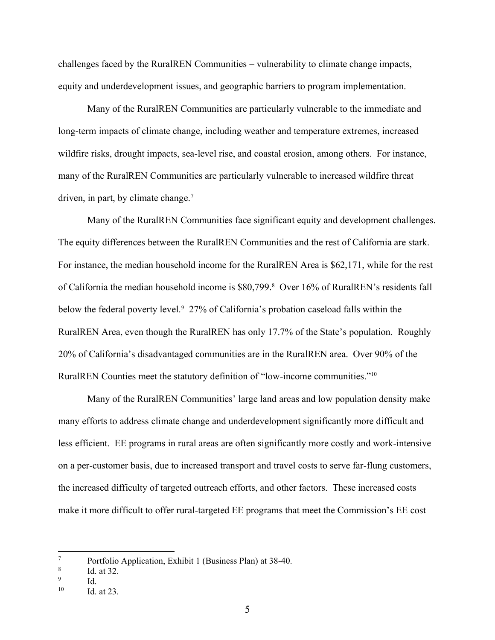challenges faced by the RuralREN Communities – vulnerability to climate change impacts, equity and underdevelopment issues, and geographic barriers to program implementation.

Many of the RuralREN Communities are particularly vulnerable to the immediate and long-term impacts of climate change, including weather and temperature extremes, increased wildfire risks, drought impacts, sea-level rise, and coastal erosion, among others. For instance, many of the RuralREN Communities are particularly vulnerable to increased wildfire threat driven, in part, by climate change. $<sup>7</sup>$ </sup>

Many of the RuralREN Communities face significant equity and development challenges. The equity differences between the RuralREN Communities and the rest of California are stark. For instance, the median household income for the RuralREN Area is \$62,171, while for the rest of California the median household income is \$80,799.<sup>8</sup> Over 16% of RuralREN's residents fall below the federal poverty level.<sup>9</sup> 27% of California's probation caseload falls within the RuralREN Area, even though the RuralREN has only 17.7% of the State's population. Roughly 20% of California's disadvantaged communities are in the RuralREN area. Over 90% of the RuralREN Counties meet the statutory definition of "low-income communities."<sup>10</sup>

Many of the RuralREN Communities' large land areas and low population density make many efforts to address climate change and underdevelopment significantly more difficult and less efficient. EE programs in rural areas are often significantly more costly and work-intensive on a per-customer basis, due to increased transport and travel costs to serve far-flung customers, the increased difficulty of targeted outreach efforts, and other factors. These increased costs make it more difficult to offer rural-targeted EE programs that meet the Commission's EE cost

<sup>7</sup> Portfolio Application, Exhibit 1 (Business Plan) at 38-40.

<sup>8</sup> Id. at 32.

<sup>9</sup> Id.

 $10$  Id at 23.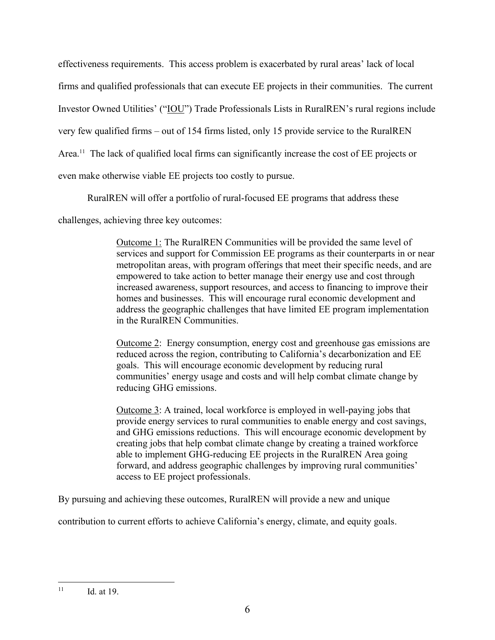effectiveness requirements. This access problem is exacerbated by rural areas' lack of local firms and qualified professionals that can execute EE projects in their communities. The current Investor Owned Utilities' ("IOU") Trade Professionals Lists in RuralREN's rural regions include very few qualified firms – out of 154 firms listed, only 15 provide service to the RuralREN Area.<sup>11</sup> The lack of qualified local firms can significantly increase the cost of EE projects or even make otherwise viable EE projects too costly to pursue.

RuralREN will offer a portfolio of rural-focused EE programs that address these

challenges, achieving three key outcomes:

Outcome 1: The RuralREN Communities will be provided the same level of services and support for Commission EE programs as their counterparts in or near metropolitan areas, with program offerings that meet their specific needs, and are empowered to take action to better manage their energy use and cost through increased awareness, support resources, and access to financing to improve their homes and businesses. This will encourage rural economic development and address the geographic challenges that have limited EE program implementation in the RuralREN Communities.

Outcome 2: Energy consumption, energy cost and greenhouse gas emissions are reduced across the region, contributing to California's decarbonization and EE goals. This will encourage economic development by reducing rural communities' energy usage and costs and will help combat climate change by reducing GHG emissions.

Outcome 3: A trained, local workforce is employed in well-paying jobs that provide energy services to rural communities to enable energy and cost savings, and GHG emissions reductions. This will encourage economic development by creating jobs that help combat climate change by creating a trained workforce able to implement GHG-reducing EE projects in the RuralREN Area going forward, and address geographic challenges by improving rural communities' access to EE project professionals.

By pursuing and achieving these outcomes, RuralREN will provide a new and unique

contribution to current efforts to achieve California's energy, climate, and equity goals.

 $11$  Id. at 19.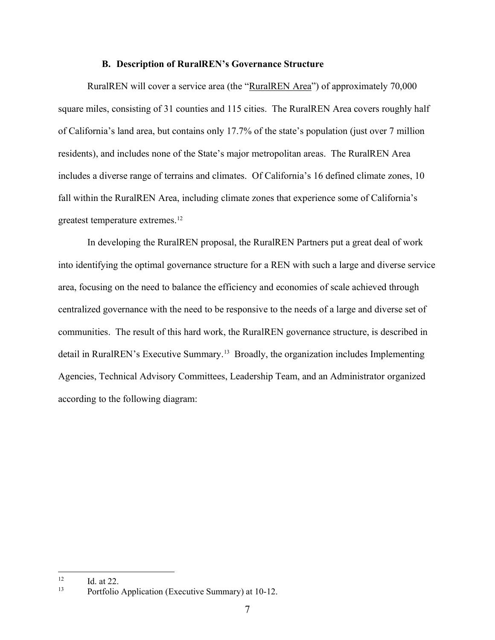#### **B. Description of RuralREN's Governance Structure**

RuralREN will cover a service area (the "RuralREN Area") of approximately 70,000 square miles, consisting of 31 counties and 115 cities. The RuralREN Area covers roughly half of California's land area, but contains only 17.7% of the state's population (just over 7 million residents), and includes none of the State's major metropolitan areas. The RuralREN Area includes a diverse range of terrains and climates. Of California's 16 defined climate zones, 10 fall within the RuralREN Area, including climate zones that experience some of California's greatest temperature extremes.<sup>12</sup>

In developing the RuralREN proposal, the RuralREN Partners put a great deal of work into identifying the optimal governance structure for a REN with such a large and diverse service area, focusing on the need to balance the efficiency and economies of scale achieved through centralized governance with the need to be responsive to the needs of a large and diverse set of communities. The result of this hard work, the RuralREN governance structure, is described in detail in RuralREN's Executive Summary.<sup>13</sup> Broadly, the organization includes Implementing Agencies, Technical Advisory Committees, Leadership Team, and an Administrator organized according to the following diagram:

 $12$  Id. at 22.

<sup>13</sup> Portfolio Application (Executive Summary) at 10-12.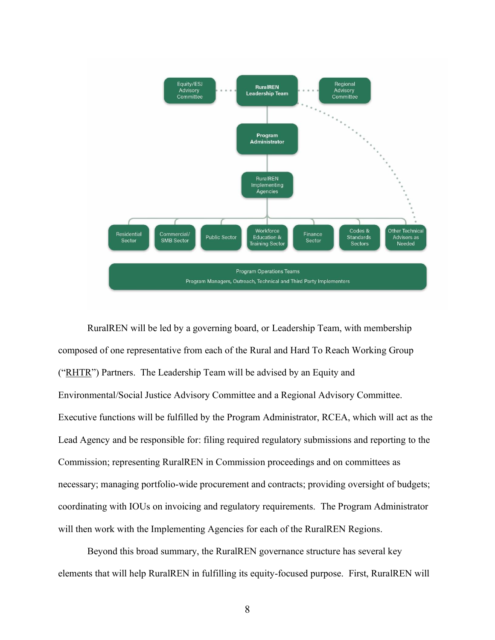

RuralREN will be led by a governing board, or Leadership Team, with membership composed of one representative from each of the Rural and Hard To Reach Working Group ("RHTR") Partners. The Leadership Team will be advised by an Equity and Environmental/Social Justice Advisory Committee and a Regional Advisory Committee. Executive functions will be fulfilled by the Program Administrator, RCEA, which will act as the Lead Agency and be responsible for: filing required regulatory submissions and reporting to the Commission; representing RuralREN in Commission proceedings and on committees as necessary; managing portfolio-wide procurement and contracts; providing oversight of budgets; coordinating with IOUs on invoicing and regulatory requirements. The Program Administrator will then work with the Implementing Agencies for each of the RuralREN Regions.

Beyond this broad summary, the RuralREN governance structure has several key elements that will help RuralREN in fulfilling its equity-focused purpose. First, RuralREN will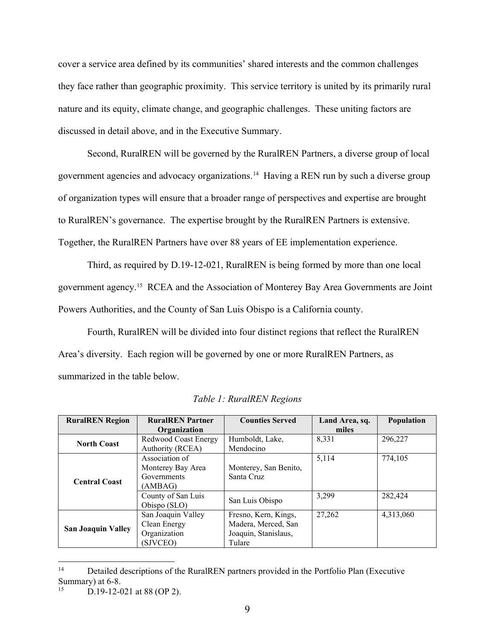cover a service area defined by its communities' shared interests and the common challenges they face rather than geographic proximity. This service territory is united by its primarily rural nature and its equity, climate change, and geographic challenges. These uniting factors are discussed in detail above, and in the Executive Summary.

Second, RuralREN will be governed by the RuralREN Partners, a diverse group of local government agencies and advocacy organizations.<sup>14</sup> Having a REN run by such a diverse group of organization types will ensure that a broader range of perspectives and expertise are brought to RuralREN's governance. The expertise brought by the RuralREN Partners is extensive. Together, the RuralREN Partners have over 88 years of EE implementation experience.

Third, as required by D.19-12-021, RuralREN is being formed by more than one local government agency.<sup>15</sup> RCEA and the Association of Monterey Bay Area Governments are Joint Powers Authorities, and the County of San Luis Obispo is a California county.

Fourth, RuralREN will be divided into four distinct regions that reflect the RuralREN Area's diversity. Each region will be governed by one or more RuralREN Partners, as summarized in the table below.

| <b>RuralREN</b> Region    | <b>RuralREN</b> Partner | <b>Counties Served</b> | Land Area, sq. | Population |
|---------------------------|-------------------------|------------------------|----------------|------------|
|                           | Organization            |                        | miles          |            |
| <b>North Coast</b>        | Redwood Coast Energy    | Humboldt, Lake,        | 8,331          | 296,227    |
|                           | Authority (RCEA)        | Mendocino              |                |            |
|                           | Association of          |                        | 5,114          | 774,105    |
| <b>Central Coast</b>      | Monterey Bay Area       | Monterey, San Benito,  |                |            |
|                           | Governments             | Santa Cruz             |                |            |
|                           | (AMBAG)                 |                        |                |            |
|                           | County of San Luis      | San Luis Obispo        | 3,299          | 282,424    |
|                           | Obispo (SLO)            |                        |                |            |
| <b>San Joaquin Valley</b> | San Joaquin Valley      | Fresno, Kern, Kings,   | 27.262         | 4,313,060  |
|                           | Clean Energy            | Madera, Merced, San    |                |            |
|                           | Organization            | Joaquin, Stanislaus,   |                |            |
|                           | (SJVCEO)                | Tulare                 |                |            |

*Table 1: RuralREN Regions*

<sup>&</sup>lt;sup>14</sup> Detailed descriptions of the RuralREN partners provided in the Portfolio Plan (Executive Summary) at 6-8.

D.19-12-021 at 88 (OP 2).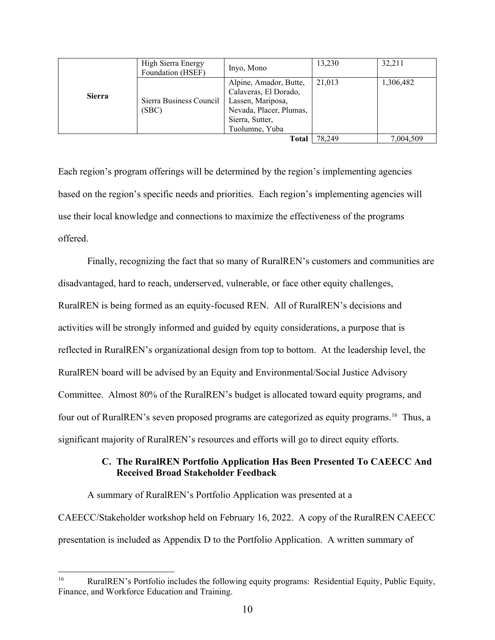|               | High Sierra Energy<br>Foundation (HSEF) | Inyo, Mono                                                                                                                           | 13,230 | 32,211    |
|---------------|-----------------------------------------|--------------------------------------------------------------------------------------------------------------------------------------|--------|-----------|
| <b>Sierra</b> | Sierra Business Council<br>(SBC)        | Alpine, Amador, Butte,<br>Calaveras, El Dorado,<br>Lassen, Mariposa,<br>Nevada, Placer, Plumas,<br>Sierra, Sutter,<br>Tuolumne, Yuba | 21,013 | 1,306,482 |
|               |                                         | Total                                                                                                                                | 78.249 | 7,004,509 |

Each region's program offerings will be determined by the region's implementing agencies based on the region's specific needs and priorities. Each region's implementing agencies will use their local knowledge and connections to maximize the effectiveness of the programs offered.

Finally, recognizing the fact that so many of RuralREN's customers and communities are disadvantaged, hard to reach, underserved, vulnerable, or face other equity challenges, RuralREN is being formed as an equity-focused REN. All of RuralREN's decisions and activities will be strongly informed and guided by equity considerations, a purpose that is reflected in RuralREN's organizational design from top to bottom. At the leadership level, the RuralREN board will be advised by an Equity and Environmental/Social Justice Advisory Committee. Almost 80% of the RuralREN's budget is allocated toward equity programs, and four out of RuralREN's seven proposed programs are categorized as equity programs.<sup>16</sup> Thus, a significant majority of RuralREN's resources and efforts will go to direct equity efforts.

# **C. The RuralREN Portfolio Application Has Been Presented To CAEECC And Received Broad Stakeholder Feedback**

A summary of RuralREN's Portfolio Application was presented at a CAEECC/Stakeholder workshop held on February 16, 2022. A copy of the RuralREN CAEECC presentation is included as Appendix D to the Portfolio Application. A written summary of

<sup>&</sup>lt;sup>16</sup> RuralREN's Portfolio includes the following equity programs: Residential Equity, Public Equity, Finance, and Workforce Education and Training.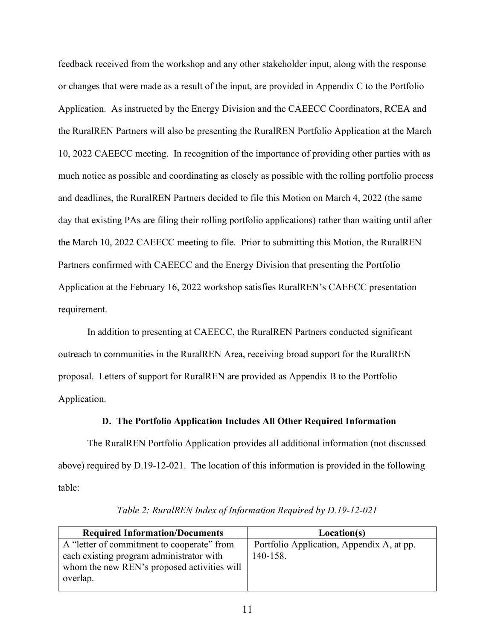feedback received from the workshop and any other stakeholder input, along with the response or changes that were made as a result of the input, are provided in Appendix C to the Portfolio Application. As instructed by the Energy Division and the CAEECC Coordinators, RCEA and the RuralREN Partners will also be presenting the RuralREN Portfolio Application at the March 10, 2022 CAEECC meeting. In recognition of the importance of providing other parties with as much notice as possible and coordinating as closely as possible with the rolling portfolio process and deadlines, the RuralREN Partners decided to file this Motion on March 4, 2022 (the same day that existing PAs are filing their rolling portfolio applications) rather than waiting until after the March 10, 2022 CAEECC meeting to file. Prior to submitting this Motion, the RuralREN Partners confirmed with CAEECC and the Energy Division that presenting the Portfolio Application at the February 16, 2022 workshop satisfies RuralREN's CAEECC presentation requirement.

In addition to presenting at CAEECC, the RuralREN Partners conducted significant outreach to communities in the RuralREN Area, receiving broad support for the RuralREN proposal. Letters of support for RuralREN are provided as Appendix B to the Portfolio Application.

#### **D. The Portfolio Application Includes All Other Required Information**

The RuralREN Portfolio Application provides all additional information (not discussed above) required by D.19-12-021. The location of this information is provided in the following table:

| <b>Required Information/Documents</b>       | Location(s)                               |
|---------------------------------------------|-------------------------------------------|
| A "letter of commitment to cooperate" from  | Portfolio Application, Appendix A, at pp. |
| each existing program administrator with    | 140-158.                                  |
| whom the new REN's proposed activities will |                                           |
| overlap.                                    |                                           |
|                                             |                                           |

*Table 2: RuralREN Index of Information Required by D.19-12-021*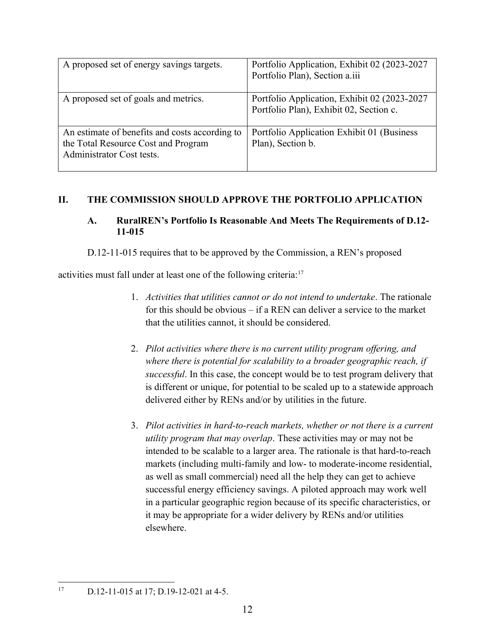| A proposed set of energy savings targets.                                                                          | Portfolio Application, Exhibit 02 (2023-2027)<br>Portfolio Plan), Section a.iii          |
|--------------------------------------------------------------------------------------------------------------------|------------------------------------------------------------------------------------------|
| A proposed set of goals and metrics.                                                                               | Portfolio Application, Exhibit 02 (2023-2027)<br>Portfolio Plan), Exhibit 02, Section c. |
| An estimate of benefits and costs according to<br>the Total Resource Cost and Program<br>Administrator Cost tests. | Portfolio Application Exhibit 01 (Business)<br>Plan), Section b.                         |

# **II. THE COMMISSION SHOULD APPROVE THE PORTFOLIO APPLICATION**

# **A. RuralREN's Portfolio Is Reasonable And Meets The Requirements of D.12- 11-015**

D.12-11-015 requires that to be approved by the Commission, a REN's proposed

activities must fall under at least one of the following criteria:<sup>17</sup>

- 1. *Activities that utilities cannot or do not intend to undertake*. The rationale for this should be obvious – if a REN can deliver a service to the market that the utilities cannot, it should be considered.
- 2. *Pilot activities where there is no current utility program offering, and where there is potential for scalability to a broader geographic reach, if successful*. In this case, the concept would be to test program delivery that is different or unique, for potential to be scaled up to a statewide approach delivered either by RENs and/or by utilities in the future.
- 3. *Pilot activities in hard-to-reach markets, whether or not there is a current utility program that may overlap*. These activities may or may not be intended to be scalable to a larger area. The rationale is that hard-to-reach markets (including multi-family and low- to moderate-income residential, as well as small commercial) need all the help they can get to achieve successful energy efficiency savings. A piloted approach may work well in a particular geographic region because of its specific characteristics, or it may be appropriate for a wider delivery by RENs and/or utilities elsewhere.

<sup>17</sup> D.12-11-015 at 17; D.19-12-021 at 4-5.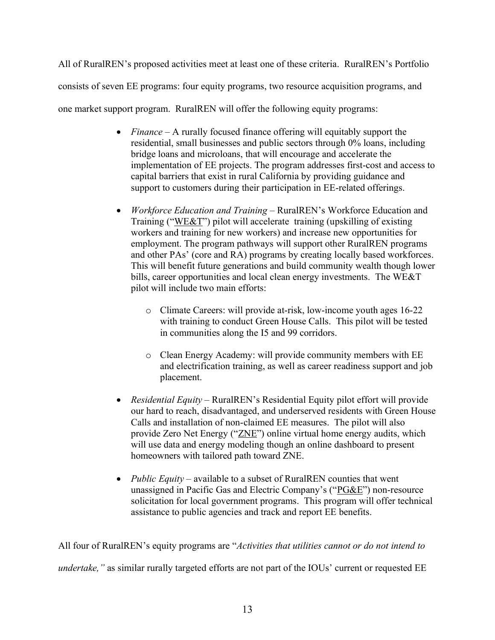All of RuralREN's proposed activities meet at least one of these criteria. RuralREN's Portfolio consists of seven EE programs: four equity programs, two resource acquisition programs, and one market support program. RuralREN will offer the following equity programs:

- *Finance* A rurally focused finance offering will equitably support the residential, small businesses and public sectors through 0% loans, including bridge loans and microloans, that will encourage and accelerate the implementation of EE projects. The program addresses first-cost and access to capital barriers that exist in rural California by providing guidance and support to customers during their participation in EE-related offerings.
- *Workforce Education and Training* RuralREN's Workforce Education and Training ("WE&T") pilot will accelerate training (upskilling of existing workers and training for new workers) and increase new opportunities for employment. The program pathways will support other RuralREN programs and other PAs' (core and RA) programs by creating locally based workforces. This will benefit future generations and build community wealth though lower bills, career opportunities and local clean energy investments. The WE&T pilot will include two main efforts:
	- o Climate Careers: will provide at-risk, low-income youth ages 16-22 with training to conduct Green House Calls. This pilot will be tested in communities along the I5 and 99 corridors.
	- o Clean Energy Academy: will provide community members with EE and electrification training, as well as career readiness support and job placement.
- *Residential Equity* RuralREN's Residential Equity pilot effort will provide our hard to reach, disadvantaged, and underserved residents with Green House Calls and installation of non-claimed EE measures. The pilot will also provide Zero Net Energy ("ZNE") online virtual home energy audits, which will use data and energy modeling though an online dashboard to present homeowners with tailored path toward ZNE.
- *Public Equity* available to a subset of RuralREN counties that went unassigned in Pacific Gas and Electric Company's ("PG&E") non-resource solicitation for local government programs. This program will offer technical assistance to public agencies and track and report EE benefits.

All four of RuralREN's equity programs are "*Activities that utilities cannot or do not intend to undertake,*" as similar rurally targeted efforts are not part of the IOUs' current or requested EE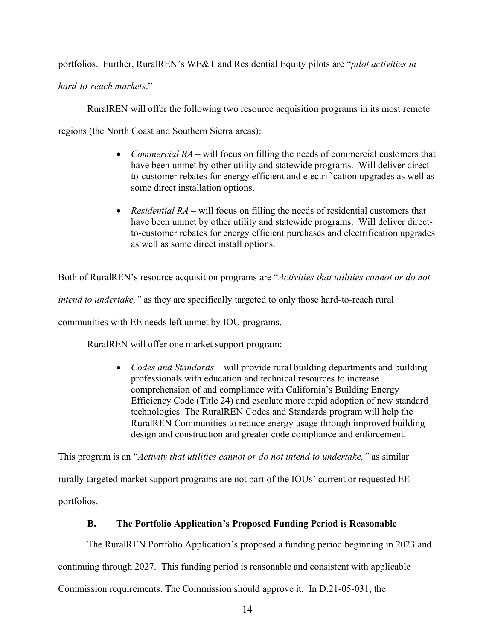portfolios. Further, RuralREN's WE&T and Residential Equity pilots are "*pilot activities in* 

*hard-to-reach markets*."

RuralREN will offer the following two resource acquisition programs in its most remote

regions (the North Coast and Southern Sierra areas):

- *Commercial RA* will focus on filling the needs of commercial customers that have been unmet by other utility and statewide programs. Will deliver directto-customer rebates for energy efficient and electrification upgrades as well as some direct installation options.
- *Residential RA* will focus on filling the needs of residential customers that have been unmet by other utility and statewide programs. Will deliver directto-customer rebates for energy efficient purchases and electrification upgrades as well as some direct install options.

Both of RuralREN's resource acquisition programs are "*Activities that utilities cannot or do not* 

*intend to undertake,"* as they are specifically targeted to only those hard-to-reach rural

communities with EE needs left unmet by IOU programs.

RuralREN will offer one market support program:

• *Codes and Standards* – will provide rural building departments and building professionals with education and technical resources to increase comprehension of and compliance with California's Building Energy Efficiency Code (Title 24) and escalate more rapid adoption of new standard technologies. The RuralREN Codes and Standards program will help the RuralREN Communities to reduce energy usage through improved building design and construction and greater code compliance and enforcement.

This program is an "*Activity that utilities cannot or do not intend to undertake,"* as similar rurally targeted market support programs are not part of the IOUs' current or requested EE portfolios.

# **B. The Portfolio Application's Proposed Funding Period is Reasonable**

The RuralREN Portfolio Application's proposed a funding period beginning in 2023 and

continuing through 2027. This funding period is reasonable and consistent with applicable

Commission requirements. The Commission should approve it. In D.21-05-031, the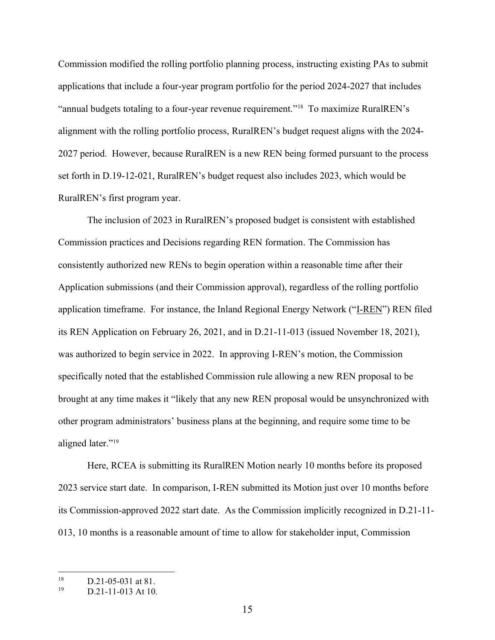Commission modified the rolling portfolio planning process, instructing existing PAs to submit applications that include a four-year program portfolio for the period 2024-2027 that includes "annual budgets totaling to a four-year revenue requirement."<sup>18</sup> To maximize RuralREN's alignment with the rolling portfolio process, RuralREN's budget request aligns with the 2024- 2027 period. However, because RuralREN is a new REN being formed pursuant to the process set forth in D.19-12-021, RuralREN's budget request also includes 2023, which would be RuralREN's first program year.

The inclusion of 2023 in RuralREN's proposed budget is consistent with established Commission practices and Decisions regarding REN formation. The Commission has consistently authorized new RENs to begin operation within a reasonable time after their Application submissions (and their Commission approval), regardless of the rolling portfolio application timeframe. For instance, the Inland Regional Energy Network ("I-REN") REN filed its REN Application on February 26, 2021, and in D.21-11-013 (issued November 18, 2021), was authorized to begin service in 2022. In approving I-REN's motion, the Commission specifically noted that the established Commission rule allowing a new REN proposal to be brought at any time makes it "likely that any new REN proposal would be unsynchronized with other program administrators' business plans at the beginning, and require some time to be aligned later."<sup>19</sup>

Here, RCEA is submitting its RuralREN Motion nearly 10 months before its proposed 2023 service start date. In comparison, I-REN submitted its Motion just over 10 months before its Commission-approved 2022 start date. As the Commission implicitly recognized in D.21-11- 013, 10 months is a reasonable amount of time to allow for stakeholder input, Commission

 $18$  D.21-05-031 at 81.

D.21-11-013 At 10.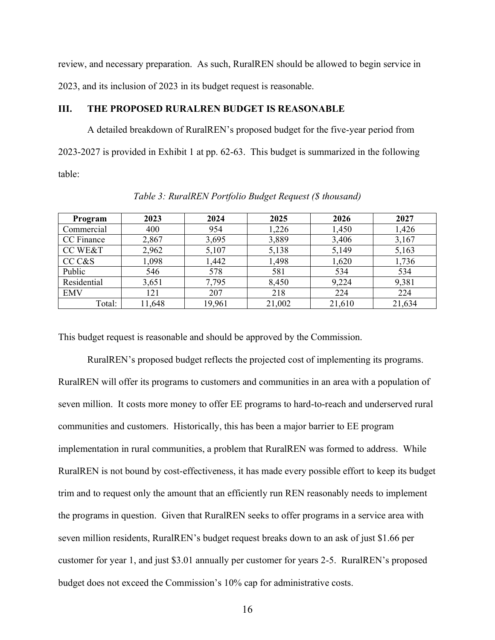review, and necessary preparation. As such, RuralREN should be allowed to begin service in 2023, and its inclusion of 2023 in its budget request is reasonable.

### **III. THE PROPOSED RURALREN BUDGET IS REASONABLE**

A detailed breakdown of RuralREN's proposed budget for the five-year period from 2023-2027 is provided in Exhibit 1 at pp. 62-63. This budget is summarized in the following table:

| Program            | 2023   | 2024   | 2025   | 2026   | 2027   |
|--------------------|--------|--------|--------|--------|--------|
| Commercial         | 400    | 954    | 1,226  | 1,450  | 1,426  |
| CC Finance         | 2,867  | 3,695  | 3,889  | 3,406  | 3,167  |
| <b>CC WE&amp;T</b> | 2,962  | 5,107  | 5,138  | 5,149  | 5,163  |
| CC C&S             | 1,098  | 1,442  | 1,498  | 1,620  | 1,736  |
| Public             | 546    | 578    | 581    | 534    | 534    |
| Residential        | 3,651  | 7,795  | 8,450  | 9,224  | 9,381  |
| <b>EMV</b>         | 121    | 207    | 218    | 224    | 224    |
| Total:             | 11,648 | 19,961 | 21,002 | 21,610 | 21,634 |

*Table 3: RuralREN Portfolio Budget Request (\$ thousand)*

This budget request is reasonable and should be approved by the Commission.

RuralREN's proposed budget reflects the projected cost of implementing its programs. RuralREN will offer its programs to customers and communities in an area with a population of seven million. It costs more money to offer EE programs to hard-to-reach and underserved rural communities and customers. Historically, this has been a major barrier to EE program implementation in rural communities, a problem that RuralREN was formed to address. While RuralREN is not bound by cost-effectiveness, it has made every possible effort to keep its budget trim and to request only the amount that an efficiently run REN reasonably needs to implement the programs in question. Given that RuralREN seeks to offer programs in a service area with seven million residents, RuralREN's budget request breaks down to an ask of just \$1.66 per customer for year 1, and just \$3.01 annually per customer for years 2-5. RuralREN's proposed budget does not exceed the Commission's 10% cap for administrative costs.